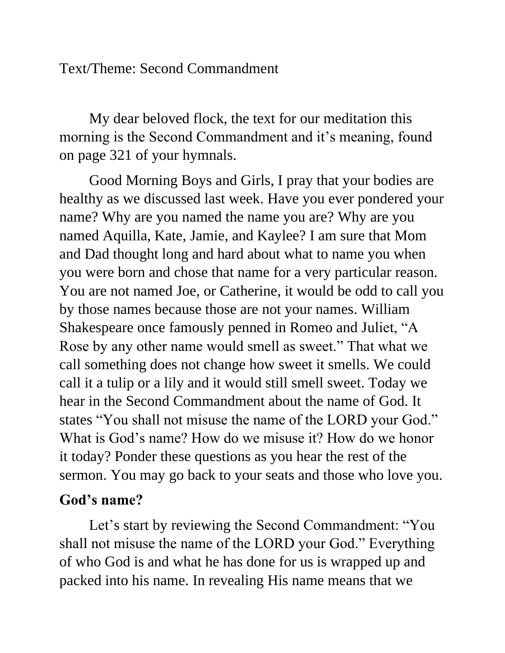Text/Theme: Second Commandment

My dear beloved flock, the text for our meditation this morning is the Second Commandment and it's meaning, found on page 321 of your hymnals.

Good Morning Boys and Girls, I pray that your bodies are healthy as we discussed last week. Have you ever pondered your name? Why are you named the name you are? Why are you named Aquilla, Kate, Jamie, and Kaylee? I am sure that Mom and Dad thought long and hard about what to name you when you were born and chose that name for a very particular reason. You are not named Joe, or Catherine, it would be odd to call you by those names because those are not your names. William Shakespeare once famously penned in Romeo and Juliet, "A Rose by any other name would smell as sweet." That what we call something does not change how sweet it smells. We could call it a tulip or a lily and it would still smell sweet. Today we hear in the Second Commandment about the name of God. It states "You shall not misuse the name of the LORD your God." What is God's name? How do we misuse it? How do we honor it today? Ponder these questions as you hear the rest of the sermon. You may go back to your seats and those who love you.

## **God's name?**

Let's start by reviewing the Second Commandment: "You shall not misuse the name of the LORD your God." Everything of who God is and what he has done for us is wrapped up and packed into his name. In revealing His name means that we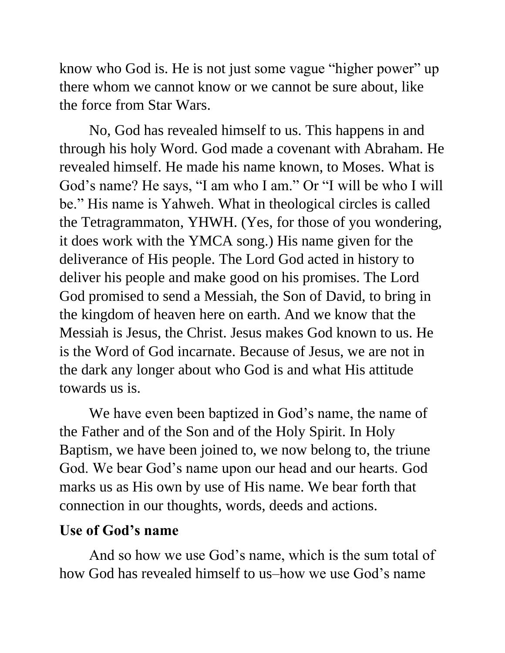know who God is. He is not just some vague "higher power" up there whom we cannot know or we cannot be sure about, like the force from Star Wars.

No, God has revealed himself to us. This happens in and through his holy Word. God made a covenant with Abraham. He revealed himself. He made his name known, to Moses. What is God's name? He says, "I am who I am." Or "I will be who I will be." His name is Yahweh. What in theological circles is called the Tetragrammaton, YHWH. (Yes, for those of you wondering, it does work with the YMCA song.) His name given for the deliverance of His people. The Lord God acted in history to deliver his people and make good on his promises. The Lord God promised to send a Messiah, the Son of David, to bring in the kingdom of heaven here on earth. And we know that the Messiah is Jesus, the Christ. Jesus makes God known to us. He is the Word of God incarnate. Because of Jesus, we are not in the dark any longer about who God is and what His attitude towards us is.

We have even been baptized in God's name, the name of the Father and of the Son and of the Holy Spirit. In Holy Baptism, we have been joined to, we now belong to, the triune God. We bear God's name upon our head and our hearts. God marks us as His own by use of His name. We bear forth that connection in our thoughts, words, deeds and actions.

## **Use of God's name**

And so how we use God's name, which is the sum total of how God has revealed himself to us–how we use God's name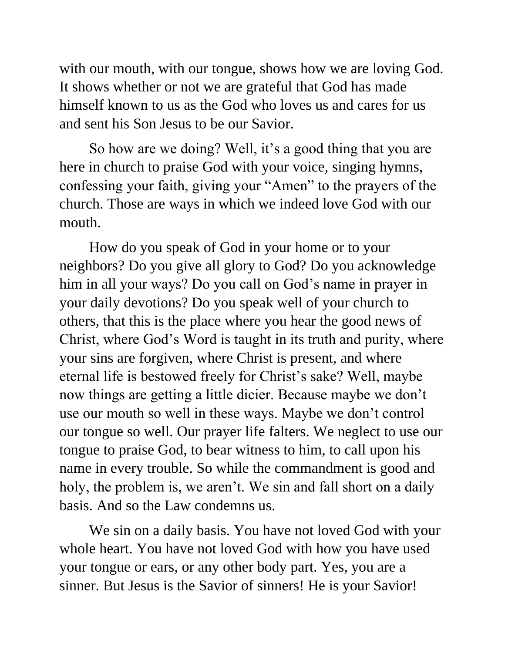with our mouth, with our tongue, shows how we are loving God. It shows whether or not we are grateful that God has made himself known to us as the God who loves us and cares for us and sent his Son Jesus to be our Savior.

So how are we doing? Well, it's a good thing that you are here in church to praise God with your voice, singing hymns, confessing your faith, giving your "Amen" to the prayers of the church. Those are ways in which we indeed love God with our mouth.

How do you speak of God in your home or to your neighbors? Do you give all glory to God? Do you acknowledge him in all your ways? Do you call on God's name in prayer in your daily devotions? Do you speak well of your church to others, that this is the place where you hear the good news of Christ, where God's Word is taught in its truth and purity, where your sins are forgiven, where Christ is present, and where eternal life is bestowed freely for Christ's sake? Well, maybe now things are getting a little dicier. Because maybe we don't use our mouth so well in these ways. Maybe we don't control our tongue so well. Our prayer life falters. We neglect to use our tongue to praise God, to bear witness to him, to call upon his name in every trouble. So while the commandment is good and holy, the problem is, we aren't. We sin and fall short on a daily basis. And so the Law condemns us.

We sin on a daily basis. You have not loved God with your whole heart. You have not loved God with how you have used your tongue or ears, or any other body part. Yes, you are a sinner. But Jesus is the Savior of sinners! He is your Savior!